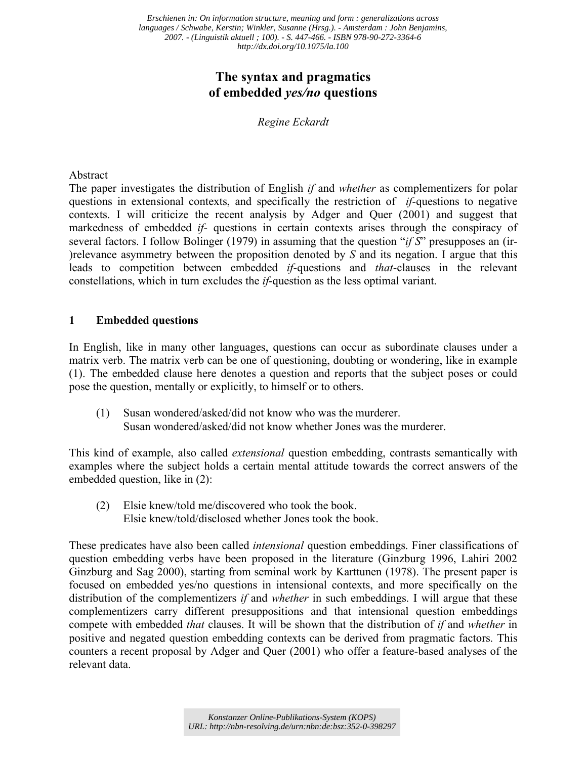*Erschienen in: On information structure, meaning and form : generalizations across languages / Schwabe, Kerstin; Winkler, Susanne (Hrsg.). - Amsterdam : John Benjamins, 2007. - (Linguistik aktuell ; 100). - S. 447-466. - ISBN 978-90-272-3364-6 http://dx.doi.org/10.1075/la.100*

# **The syntax and pragmatics of embedded** *yes/no* **questions**

*Regine Eckardt*

#### Abstract

The paper investigates the distribution of English *if* and *whether* as complementizers for polar questions in extensional contexts, and specifically the restriction of *if-*questions to negative contexts. I will criticize the recent analysis by Adger and Quer (2001) and suggest that markedness of embedded *if-* questions in certain contexts arises through the conspiracy of several factors. I follow Bolinger (1979) in assuming that the question "*if S*" presupposes an (ir- )relevance asymmetry between the proposition denoted by *S* and its negation. I argue that this leads to competition between embedded *if*-questions and *that*-clauses in the relevant constellations, which in turn excludes the *if*-question as the less optimal variant.

#### **1 Embedded questions**

In English, like in many other languages, questions can occur as subordinate clauses under a matrix verb. The matrix verb can be one of questioning, doubting or wondering, like in example (1). The embedded clause here denotes a question and reports that the subject poses or could pose the question, mentally or explicitly, to himself or to others.

(1) Susan wondered/asked/did not know who was the murderer. Susan wondered/asked/did not know whether Jones was the murderer.

This kind of example, also called *extensional* question embedding, contrasts semantically with examples where the subject holds a certain mental attitude towards the correct answers of the embedded question, like in (2):

(2) Elsie knew/told me/discovered who took the book. Elsie knew/told/disclosed whether Jones took the book.

These predicates have also been called *intensional* question embeddings. Finer classifications of question embedding verbs have been proposed in the literature (Ginzburg 1996, Lahiri 2002 Ginzburg and Sag 2000), starting from seminal work by Karttunen (1978). The present paper is focused on embedded yes/no questions in intensional contexts, and more specifically on the distribution of the complementizers *if* and *whether* in such embeddings. I will argue that these complementizers carry different presuppositions and that intensional question embeddings compete with embedded *that* clauses. It will be shown that the distribution of *if* and *whether* in positive and negated question embedding contexts can be derived from pragmatic factors. This counters a recent proposal by Adger and Quer (2001) who offer a feature-based analyses of the relevant data.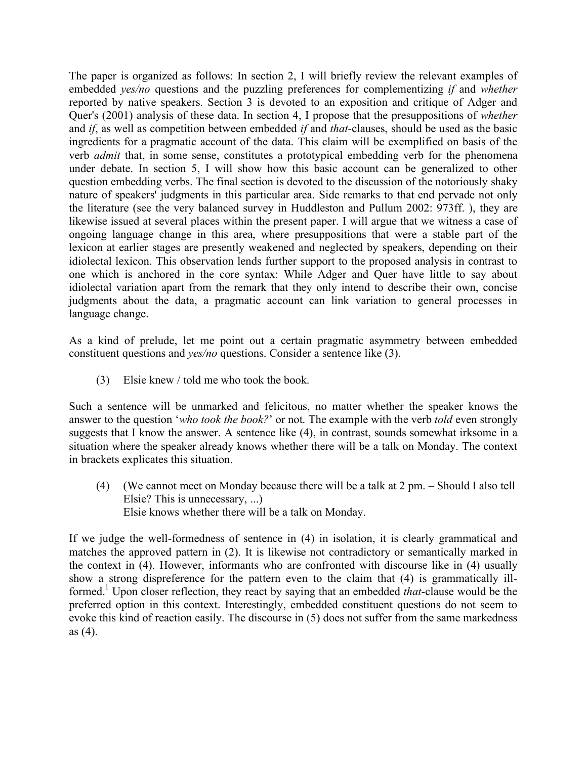The paper is organized as follows: In section 2, I will briefly review the relevant examples of embedded *yes/no* questions and the puzzling preferences for complementizing *if* and *whether* reported by native speakers. Section 3 is devoted to an exposition and critique of Adger and Quer's (2001) analysis of these data. In section 4, I propose that the presuppositions of *whether* and *if*, as well as competition between embedded *if* and *that-*clauses, should be used as the basic ingredients for a pragmatic account of the data. This claim will be exemplified on basis of the verb *admit* that, in some sense, constitutes a prototypical embedding verb for the phenomena under debate. In section 5, I will show how this basic account can be generalized to other question embedding verbs. The final section is devoted to the discussion of the notoriously shaky nature of speakers' judgments in this particular area. Side remarks to that end pervade not only the literature (see the very balanced survey in Huddleston and Pullum 2002: 973ff. ), they are likewise issued at several places within the present paper. I will argue that we witness a case of ongoing language change in this area, where presuppositions that were a stable part of the lexicon at earlier stages are presently weakened and neglected by speakers, depending on their idiolectal lexicon. This observation lends further support to the proposed analysis in contrast to one which is anchored in the core syntax: While Adger and Quer have little to say about idiolectal variation apart from the remark that they only intend to describe their own, concise judgments about the data, a pragmatic account can link variation to general processes in language change.

As a kind of prelude, let me point out a certain pragmatic asymmetry between embedded constituent questions and *yes/no* questions. Consider a sentence like (3).

(3) Elsie knew / told me who took the book.

Such a sentence will be unmarked and felicitous, no matter whether the speaker knows the answer to the question '*who took the book?*' or not. The example with the verb *told* even strongly suggests that I know the answer. A sentence like (4), in contrast, sounds somewhat irksome in a situation where the speaker already knows whether there will be a talk on Monday. The context in brackets explicates this situation.

(4) (We cannot meet on Monday because there will be a talk at 2 pm. – Should I also tell Elsie? This is unnecessary, ...) Elsie knows whether there will be a talk on Monday.

If we judge the well-formedness of sentence in (4) in isolation, it is clearly grammatical and matches the approved pattern in (2). It is likewise not contradictory or semantically marked in the context in (4). However, informants who are confronted with discourse like in (4) usually show a strong dispreference for the pattern even to the claim that (4) is grammatically illformed.1 Upon closer reflection, they react by saying that an embedded *that*-clause would be the preferred option in this context. Interestingly, embedded constituent questions do not seem to evoke this kind of reaction easily. The discourse in (5) does not suffer from the same markedness as (4).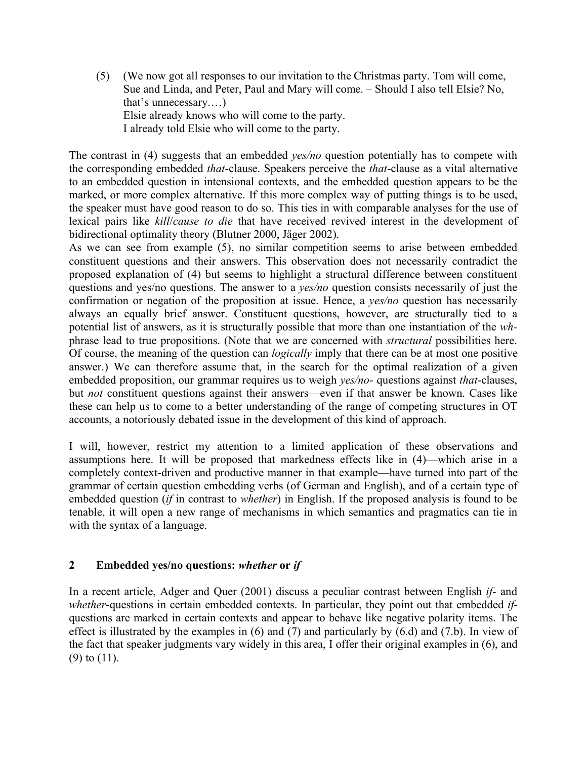(5) (We now got all responses to our invitation to the Christmas party. Tom will come, Sue and Linda, and Peter, Paul and Mary will come. – Should I also tell Elsie? No, that's unnecessary.…) Elsie already knows who will come to the party. I already told Elsie who will come to the party.

The contrast in (4) suggests that an embedded *yes/no* question potentially has to compete with the corresponding embedded *that*-clause. Speakers perceive the *that*-clause as a vital alternative to an embedded question in intensional contexts, and the embedded question appears to be the marked, or more complex alternative. If this more complex way of putting things is to be used, the speaker must have good reason to do so. This ties in with comparable analyses for the use of lexical pairs like *kill*/*cause to die* that have received revived interest in the development of bidirectional optimality theory (Blutner 2000, Jäger 2002).

As we can see from example (5), no similar competition seems to arise between embedded constituent questions and their answers. This observation does not necessarily contradict the proposed explanation of (4) but seems to highlight a structural difference between constituent questions and yes/no questions. The answer to a *yes/no* question consists necessarily of just the confirmation or negation of the proposition at issue. Hence, a *yes/no* question has necessarily always an equally brief answer. Constituent questions, however, are structurally tied to a potential list of answers, as it is structurally possible that more than one instantiation of the *wh*phrase lead to true propositions. (Note that we are concerned with *structural* possibilities here. Of course, the meaning of the question can *logically* imply that there can be at most one positive answer.) We can therefore assume that, in the search for the optimal realization of a given embedded proposition, our grammar requires us to weigh *yes/no*- questions against *that*-clauses, but *not* constituent questions against their answers—even if that answer be known. Cases like these can help us to come to a better understanding of the range of competing structures in OT accounts, a notoriously debated issue in the development of this kind of approach.

I will, however, restrict my attention to a limited application of these observations and assumptions here. It will be proposed that markedness effects like in (4)—which arise in a completely context-driven and productive manner in that example—have turned into part of the grammar of certain question embedding verbs (of German and English), and of a certain type of embedded question (*if* in contrast to *whether*) in English. If the proposed analysis is found to be tenable, it will open a new range of mechanisms in which semantics and pragmatics can tie in with the syntax of a language.

## **2 Embedded yes/no questions:** *whether* **or** *if*

In a recent article, Adger and Quer (2001) discuss a peculiar contrast between English *if*- and *whether*-questions in certain embedded contexts. In particular, they point out that embedded *if*questions are marked in certain contexts and appear to behave like negative polarity items. The effect is illustrated by the examples in (6) and (7) and particularly by (6.d) and (7.b). In view of the fact that speaker judgments vary widely in this area, I offer their original examples in (6), and (9) to (11).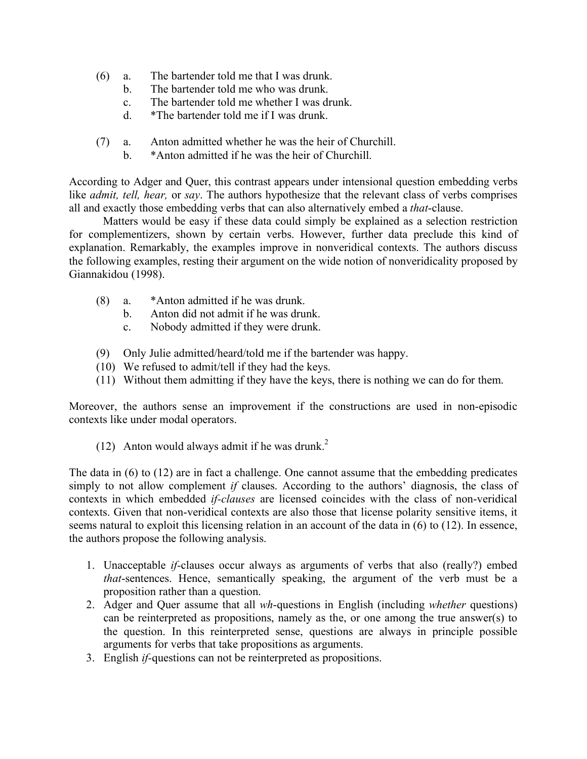- (6) a. The bartender told me that I was drunk.
	- b. The bartender told me who was drunk.
	- c. The bartender told me whether I was drunk.
	- d. \*The bartender told me if I was drunk.
- (7) a. Anton admitted whether he was the heir of Churchill.
	- b. \*Anton admitted if he was the heir of Churchill.

According to Adger and Quer, this contrast appears under intensional question embedding verbs like *admit, tell, hear,* or *say*. The authors hypothesize that the relevant class of verbs comprises all and exactly those embedding verbs that can also alternatively embed a *that*-clause.

Matters would be easy if these data could simply be explained as a selection restriction for complementizers, shown by certain verbs. However, further data preclude this kind of explanation. Remarkably, the examples improve in nonveridical contexts. The authors discuss the following examples, resting their argument on the wide notion of nonveridicality proposed by Giannakidou (1998).

- (8) a. \*Anton admitted if he was drunk.
	- b. Anton did not admit if he was drunk.
	- c. Nobody admitted if they were drunk.
- (9) Only Julie admitted/heard/told me if the bartender was happy.
- (10) We refused to admit/tell if they had the keys.
- (11) Without them admitting if they have the keys, there is nothing we can do for them.

Moreover, the authors sense an improvement if the constructions are used in non-episodic contexts like under modal operators.

(12) Anton would always admit if he was drunk.<sup>2</sup>

The data in (6) to (12) are in fact a challenge. One cannot assume that the embedding predicates simply to not allow complement *if* clauses. According to the authors' diagnosis, the class of contexts in which embedded *if-clauses* are licensed coincides with the class of non-veridical contexts. Given that non-veridical contexts are also those that license polarity sensitive items, it seems natural to exploit this licensing relation in an account of the data in (6) to (12). In essence, the authors propose the following analysis.

- 1. Unacceptable *if-*clauses occur always as arguments of verbs that also (really?) embed *that*-sentences. Hence, semantically speaking, the argument of the verb must be a proposition rather than a question.
- 2. Adger and Quer assume that all *wh*-questions in English (including *whether* questions) can be reinterpreted as propositions, namely as the, or one among the true answer(s) to the question. In this reinterpreted sense, questions are always in principle possible arguments for verbs that take propositions as arguments.
- 3. English *if-*questions can not be reinterpreted as propositions.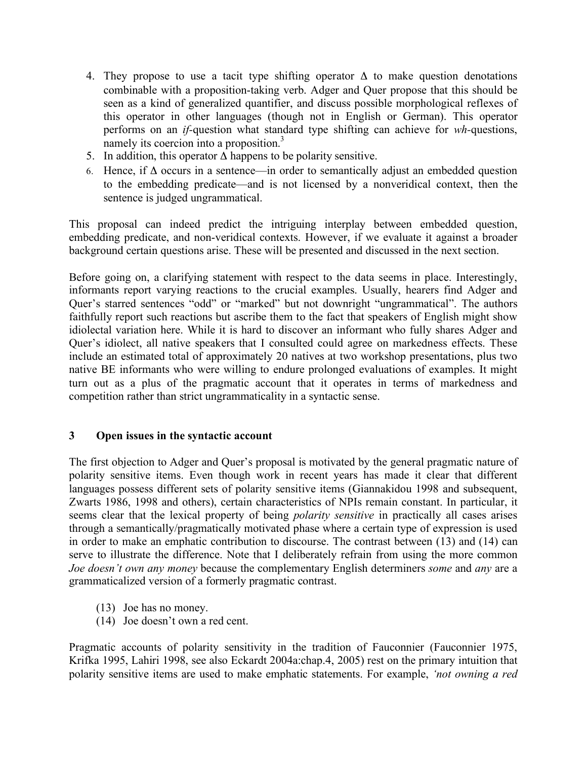- 4. They propose to use a tacit type shifting operator  $\Delta$  to make question denotations combinable with a proposition-taking verb. Adger and Quer propose that this should be seen as a kind of generalized quantifier, and discuss possible morphological reflexes of this operator in other languages (though not in English or German). This operator performs on an *if-*question what standard type shifting can achieve for *wh-*questions, namely its coercion into a proposition.<sup>3</sup>
- 5. In addition, this operator  $\Delta$  happens to be polarity sensitive.
- 6. Hence, if  $\Delta$  occurs in a sentence—in order to semantically adjust an embedded question to the embedding predicate—and is not licensed by a nonveridical context, then the sentence is judged ungrammatical.

This proposal can indeed predict the intriguing interplay between embedded question, embedding predicate, and non-veridical contexts. However, if we evaluate it against a broader background certain questions arise. These will be presented and discussed in the next section.

Before going on, a clarifying statement with respect to the data seems in place. Interestingly, informants report varying reactions to the crucial examples. Usually, hearers find Adger and Quer's starred sentences "odd" or "marked" but not downright "ungrammatical". The authors faithfully report such reactions but ascribe them to the fact that speakers of English might show idiolectal variation here. While it is hard to discover an informant who fully shares Adger and Quer's idiolect, all native speakers that I consulted could agree on markedness effects. These include an estimated total of approximately 20 natives at two workshop presentations, plus two native BE informants who were willing to endure prolonged evaluations of examples. It might turn out as a plus of the pragmatic account that it operates in terms of markedness and competition rather than strict ungrammaticality in a syntactic sense.

## **3 Open issues in the syntactic account**

The first objection to Adger and Quer's proposal is motivated by the general pragmatic nature of polarity sensitive items. Even though work in recent years has made it clear that different languages possess different sets of polarity sensitive items (Giannakidou 1998 and subsequent, Zwarts 1986, 1998 and others), certain characteristics of NPIs remain constant. In particular, it seems clear that the lexical property of being *polarity sensitive* in practically all cases arises through a semantically/pragmatically motivated phase where a certain type of expression is used in order to make an emphatic contribution to discourse. The contrast between (13) and (14) can serve to illustrate the difference. Note that I deliberately refrain from using the more common *Joe doesn't own any money* because the complementary English determiners *some* and *any* are a grammaticalized version of a formerly pragmatic contrast.

- (13) Joe has no money.
- (14) Joe doesn't own a red cent.

Pragmatic accounts of polarity sensitivity in the tradition of Fauconnier (Fauconnier 1975, Krifka 1995, Lahiri 1998, see also Eckardt 2004a:chap.4, 2005) rest on the primary intuition that polarity sensitive items are used to make emphatic statements. For example, *'not owning a red*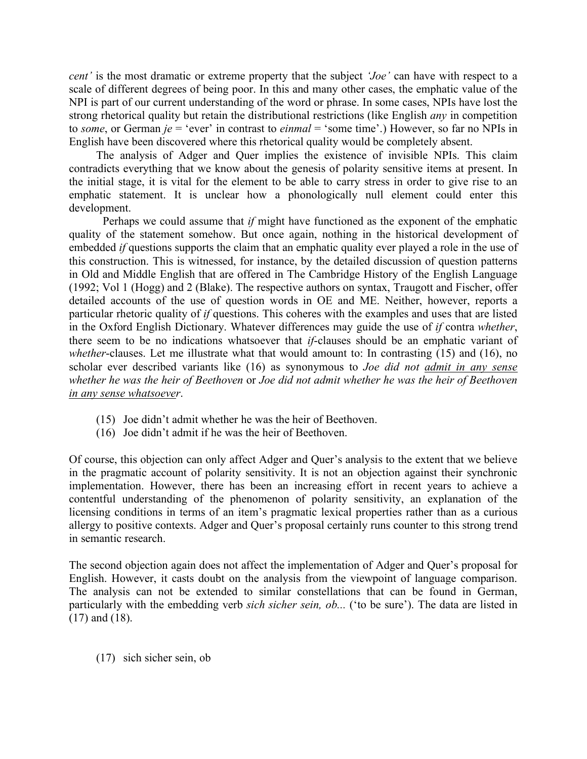*cent'* is the most dramatic or extreme property that the subject *'Joe'* can have with respect to a scale of different degrees of being poor. In this and many other cases, the emphatic value of the NPI is part of our current understanding of the word or phrase. In some cases, NPIs have lost the strong rhetorical quality but retain the distributional restrictions (like English *any* in competition to *some*, or German *je* = 'ever' in contrast to *einmal* = 'some time'.) However, so far no NPIs in English have been discovered where this rhetorical quality would be completely absent.

The analysis of Adger and Quer implies the existence of invisible NPIs. This claim contradicts everything that we know about the genesis of polarity sensitive items at present. In the initial stage, it is vital for the element to be able to carry stress in order to give rise to an emphatic statement. It is unclear how a phonologically null element could enter this development.

Perhaps we could assume that *if* might have functioned as the exponent of the emphatic quality of the statement somehow. But once again, nothing in the historical development of embedded *if* questions supports the claim that an emphatic quality ever played a role in the use of this construction. This is witnessed, for instance, by the detailed discussion of question patterns in Old and Middle English that are offered in The Cambridge History of the English Language (1992; Vol 1 (Hogg) and 2 (Blake). The respective authors on syntax, Traugott and Fischer, offer detailed accounts of the use of question words in OE and ME. Neither, however, reports a particular rhetoric quality of *if* questions. This coheres with the examples and uses that are listed in the Oxford English Dictionary. Whatever differences may guide the use of *if* contra *whether*, there seem to be no indications whatsoever that *if*-clauses should be an emphatic variant of *whether*-clauses. Let me illustrate what that would amount to: In contrasting (15) and (16), no scholar ever described variants like (16) as synonymous to *Joe did not admit in any sense whether he was the heir of Beethoven* or *Joe did not admit whether he was the heir of Beethoven in any sense whatsoever*.

- (15) Joe didn't admit whether he was the heir of Beethoven.
- (16) Joe didn't admit if he was the heir of Beethoven.

Of course, this objection can only affect Adger and Quer's analysis to the extent that we believe in the pragmatic account of polarity sensitivity. It is not an objection against their synchronic implementation. However, there has been an increasing effort in recent years to achieve a contentful understanding of the phenomenon of polarity sensitivity, an explanation of the licensing conditions in terms of an item's pragmatic lexical properties rather than as a curious allergy to positive contexts. Adger and Quer's proposal certainly runs counter to this strong trend in semantic research.

The second objection again does not affect the implementation of Adger and Quer's proposal for English. However, it casts doubt on the analysis from the viewpoint of language comparison. The analysis can not be extended to similar constellations that can be found in German, particularly with the embedding verb *sich sicher sein, ob...* ('to be sure'). The data are listed in (17) and (18).

(17) sich sicher sein, ob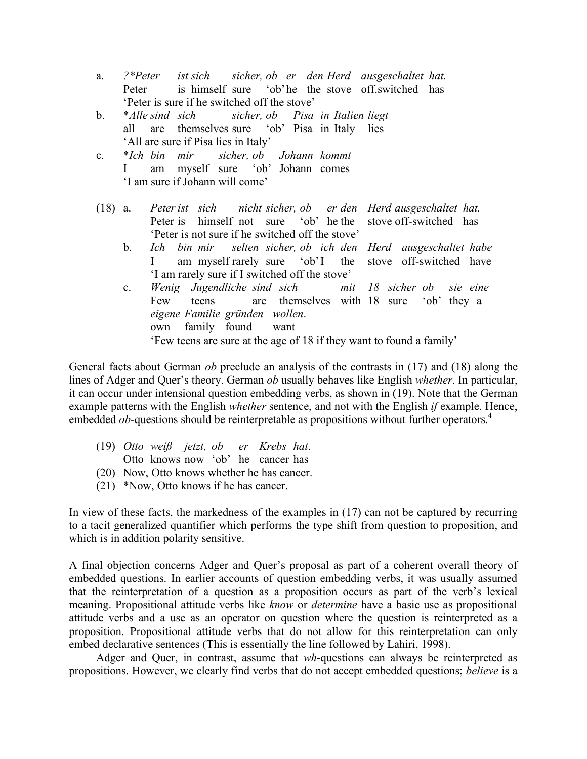- a. *?\*Peter ist sich sicher, ob er den Herd ausgeschaltet hat.* Peter is himself sure 'ob'he the stove off.switched has 'Peter is sure if he switched off the stove'
- b. \**Alle sind sich sicher, ob Pisa in Italien liegt* all are themselves sure 'ob' Pisa in Italy lies 'All are sure if Pisa lies in Italy'
- c. \**Ich bin mir sicher, ob Johann kommt* I am myself sure 'ob' Johann comes 'I am sure if Johann will come'
- (18) a. *Peterist sich nicht sicher, ob er den Herd ausgeschaltet hat.* Peter is himself not sure 'ob' he the stove off-switched has 'Peter is not sure if he switched off the stove'
	- b. *Ich bin mir selten sicher, ob ich den Herd ausgeschaltet habe* I am myself rarely sure 'ob'I the stove off-switched have 'I am rarely sure if I switched off the stove'
	- c. *Wenig Jugendliche sind sich mit 18 sicher ob sie eine* Few teens are themselves with 18 sure 'ob' they a *eigene Familie gründen wollen*. own family found want 'Few teens are sure at the age of 18 if they want to found a family'

General facts about German *ob* preclude an analysis of the contrasts in (17) and (18) along the lines of Adger and Quer's theory. German *ob* usually behaves like English *whether*. In particular, it can occur under intensional question embedding verbs, as shown in (19). Note that the German example patterns with the English *whether* sentence, and not with the English *if* example. Hence, embedded *ob*-questions should be reinterpretable as propositions without further operators.<sup>4</sup>

- (19) *Otto weiß jetzt, ob er Krebs hat*. Otto knows now 'ob' he cancer has
- (20) Now, Otto knows whether he has cancer.
- (21) \*Now, Otto knows if he has cancer.

In view of these facts, the markedness of the examples in (17) can not be captured by recurring to a tacit generalized quantifier which performs the type shift from question to proposition, and which is in addition polarity sensitive.

A final objection concerns Adger and Quer's proposal as part of a coherent overall theory of embedded questions. In earlier accounts of question embedding verbs, it was usually assumed that the reinterpretation of a question as a proposition occurs as part of the verb's lexical meaning. Propositional attitude verbs like *know* or *determine* have a basic use as propositional attitude verbs and a use as an operator on question where the question is reinterpreted as a proposition. Propositional attitude verbs that do not allow for this reinterpretation can only embed declarative sentences (This is essentially the line followed by Lahiri, 1998).

Adger and Quer, in contrast, assume that *wh*-questions can always be reinterpreted as propositions. However, we clearly find verbs that do not accept embedded questions; *believe* is a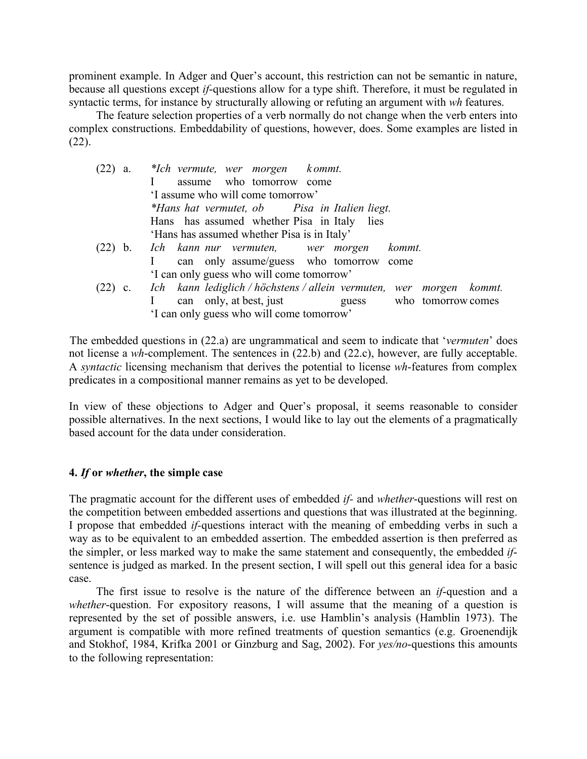prominent example. In Adger and Quer's account, this restriction can not be semantic in nature, because all questions except *if*-questions allow for a type shift. Therefore, it must be regulated in syntactic terms, for instance by structurally allowing or refuting an argument with *wh* features.

The feature selection properties of a verb normally do not change when the verb enters into complex constructions. Embeddability of questions, however, does. Some examples are listed in (22).

| (22) | a.      | *Ich vermute, wer morgen kommt.                                        |
|------|---------|------------------------------------------------------------------------|
|      |         | assume who tomorrow come                                               |
|      |         | 'I assume who will come tomorrow'                                      |
|      |         | *Hans hat vermutet, ob Pisa in Italien liegt.                          |
|      |         | Hans has assumed whether Pisa in Italy lies                            |
|      |         | 'Hans has assumed whether Pisa is in Italy'                            |
| (22) | $b_{1}$ | Ich kann-nur vermuten, mer morgen kommt.                               |
|      |         | can only assume/guess who tomorrow come                                |
|      |         | 'I can only guess who will come tomorrow'                              |
| (22) |         | c. Ich kann lediglich / höchstens / allein vermuten, wer morgen kommt. |
|      |         | can only, at best, just<br>guess who tomorrow comes                    |
|      |         | 'I can only guess who will come tomorrow'                              |

The embedded questions in (22.a) are ungrammatical and seem to indicate that '*vermuten*' does not license a *wh*-complement. The sentences in (22.b) and (22.c), however, are fully acceptable. A *syntactic* licensing mechanism that derives the potential to license *wh*-features from complex predicates in a compositional manner remains as yet to be developed.

In view of these objections to Adger and Quer's proposal, it seems reasonable to consider possible alternatives. In the next sections, I would like to lay out the elements of a pragmatically based account for the data under consideration.

#### **4.** *If* **or** *whether***, the simple case**

The pragmatic account for the different uses of embedded *if-* and *whether*-questions will rest on the competition between embedded assertions and questions that was illustrated at the beginning. I propose that embedded *if-*questions interact with the meaning of embedding verbs in such a way as to be equivalent to an embedded assertion. The embedded assertion is then preferred as the simpler, or less marked way to make the same statement and consequently, the embedded *if*sentence is judged as marked. In the present section, I will spell out this general idea for a basic case.

The first issue to resolve is the nature of the difference between an *if*-question and a *whether*-question. For expository reasons, I will assume that the meaning of a question is represented by the set of possible answers, i.e. use Hamblin's analysis (Hamblin 1973). The argument is compatible with more refined treatments of question semantics (e.g. Groenendijk and Stokhof, 1984, Krifka 2001 or Ginzburg and Sag, 2002). For *yes/no*-questions this amounts to the following representation: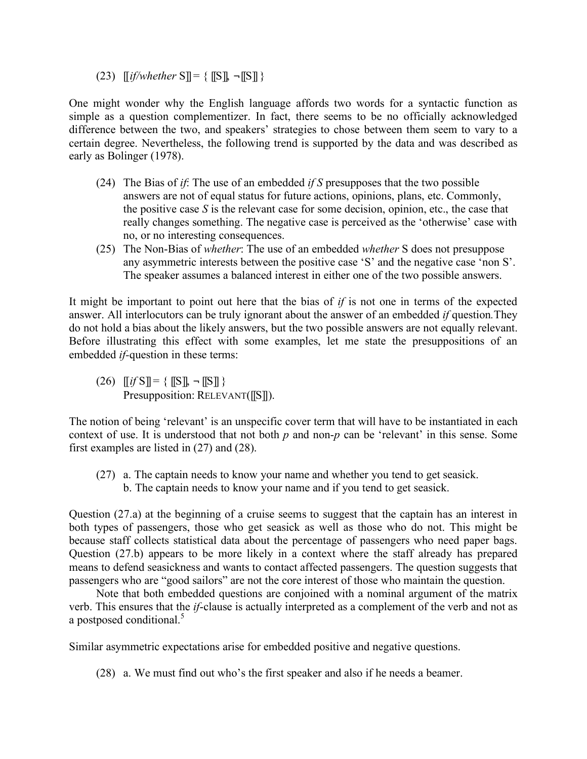(23)  $\left[ \frac{i f}{w} \text{ } \frac{1}{w} \right] = \left\{ \frac{\mathbb{S}}{\mathbb{R}} - \frac{\mathbb{S}}{\mathbb{S}} \right\}$ 

One might wonder why the English language affords two words for a syntactic function as simple as a question complementizer. In fact, there seems to be no officially acknowledged difference between the two, and speakers' strategies to chose between them seem to vary to a certain degree. Nevertheless, the following trend is supported by the data and was described as early as Bolinger (1978).

- (24) The Bias of *if*: The use of an embedded *if S* presupposes that the two possible answers are not of equal status for future actions, opinions, plans, etc. Commonly, the positive case *S* is the relevant case for some decision, opinion, etc., the case that really changes something. The negative case is perceived as the 'otherwise' case with no, or no interesting consequences.
- (25) The Non-Bias of *whether*: The use of an embedded *whether* S does not presuppose any asymmetric interests between the positive case 'S' and the negative case 'non S'. The speaker assumes a balanced interest in either one of the two possible answers.

It might be important to point out here that the bias of *if* is not one in terms of the expected answer. All interlocutors can be truly ignorant about the answer of an embedded *if* question*.*They do not hold a bias about the likely answers, but the two possible answers are not equally relevant. Before illustrating this effect with some examples, let me state the presuppositions of an embedded *if-*question in these terms:

(26)  $\[\text{if } S \]= \{\[\text{IS} \], \neg \[\text{IS} \]\}\]$ Presupposition: RELEVANT([[S]]).

The notion of being 'relevant' is an unspecific cover term that will have to be instantiated in each context of use. It is understood that not both *p* and non-*p* can be 'relevant' in this sense. Some first examples are listed in (27) and (28).

(27) a. The captain needs to know your name and whether you tend to get seasick. b. The captain needs to know your name and if you tend to get seasick.

Question (27.a) at the beginning of a cruise seems to suggest that the captain has an interest in both types of passengers, those who get seasick as well as those who do not. This might be because staff collects statistical data about the percentage of passengers who need paper bags. Question (27.b) appears to be more likely in a context where the staff already has prepared means to defend seasickness and wants to contact affected passengers. The question suggests that passengers who are "good sailors" are not the core interest of those who maintain the question.

Note that both embedded questions are conjoined with a nominal argument of the matrix verb. This ensures that the *if*-clause is actually interpreted as a complement of the verb and not as a postposed conditional.<sup>5</sup>

Similar asymmetric expectations arise for embedded positive and negative questions.

(28) a. We must find out who's the first speaker and also if he needs a beamer.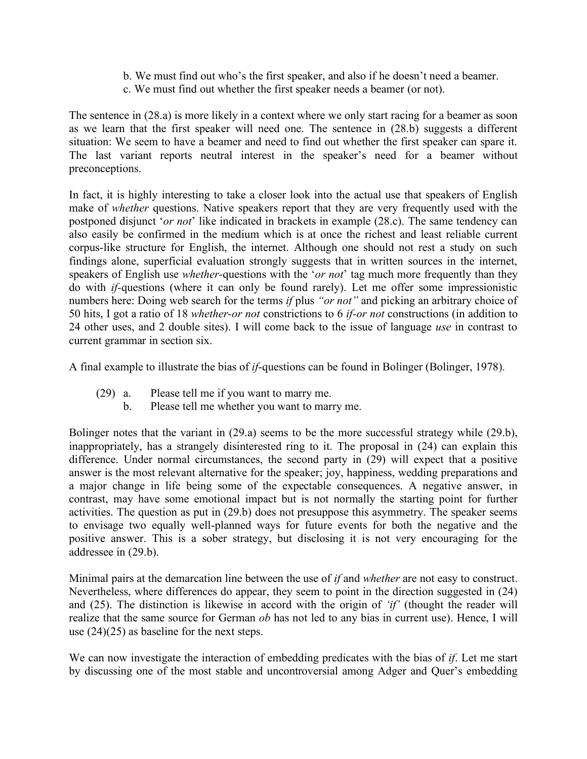- b. We must find out who's the first speaker, and also if he doesn't need a beamer.
- c. We must find out whether the first speaker needs a beamer (or not).

The sentence in (28.a) is more likely in a context where we only start racing for a beamer as soon as we learn that the first speaker will need one. The sentence in (28.b) suggests a different situation: We seem to have a beamer and need to find out whether the first speaker can spare it. The last variant reports neutral interest in the speaker's need for a beamer without preconceptions.

In fact, it is highly interesting to take a closer look into the actual use that speakers of English make of *whether* questions. Native speakers report that they are very frequently used with the postponed disjunct '*or not*' like indicated in brackets in example (28.c). The same tendency can also easily be confirmed in the medium which is at once the richest and least reliable current corpus-like structure for English, the internet. Although one should not rest a study on such findings alone, superficial evaluation strongly suggests that in written sources in the internet, speakers of English use *whether-*questions with the '*or not*' tag much more frequently than they do with *if-*questions (where it can only be found rarely). Let me offer some impressionistic numbers here: Doing web search for the terms *if* plus *"or not"* and picking an arbitrary choice of 50 hits, I got a ratio of 18 *whether-or not* constrictions to 6 *if-or not* constructions (in addition to 24 other uses, and 2 double sites). I will come back to the issue of language *use* in contrast to current grammar in section six.

A final example to illustrate the bias of *if*-questions can be found in Bolinger (Bolinger, 1978).

- (29) a. Please tell me if you want to marry me.
	- b. Please tell me whether you want to marry me.

Bolinger notes that the variant in (29.a) seems to be the more successful strategy while (29.b), inappropriately, has a strangely disinterested ring to it. The proposal in (24) can explain this difference. Under normal circumstances, the second party in (29) will expect that a positive answer is the most relevant alternative for the speaker; joy, happiness, wedding preparations and a major change in life being some of the expectable consequences. A negative answer, in contrast, may have some emotional impact but is not normally the starting point for further activities. The question as put in (29.b) does not presuppose this asymmetry. The speaker seems to envisage two equally well-planned ways for future events for both the negative and the positive answer. This is a sober strategy, but disclosing it is not very encouraging for the addressee in (29.b).

Minimal pairs at the demarcation line between the use of *if* and *whether* are not easy to construct. Nevertheless, where differences do appear, they seem to point in the direction suggested in (24) and (25). The distinction is likewise in accord with the origin of *'if'* (thought the reader will realize that the same source for German *ob* has not led to any bias in current use). Hence, I will use (24)(25) as baseline for the next steps.

We can now investigate the interaction of embedding predicates with the bias of *if*. Let me start by discussing one of the most stable and uncontroversial among Adger and Quer's embedding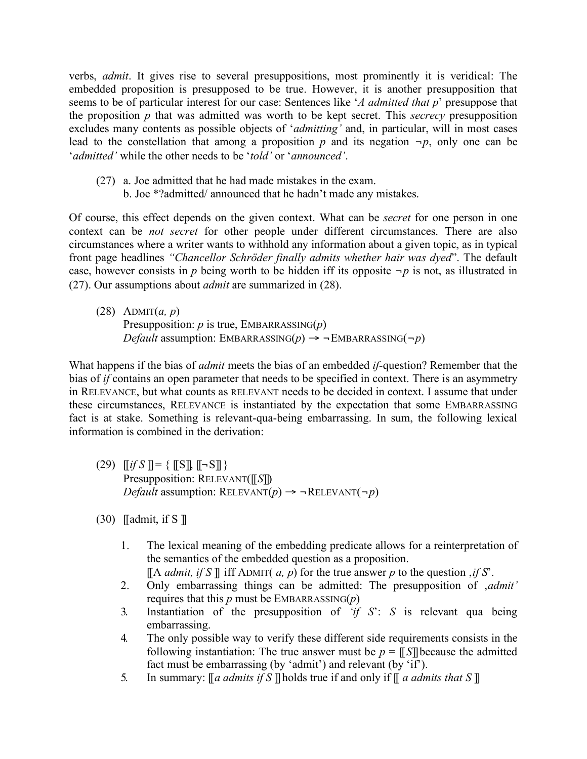verbs, *admit*. It gives rise to several presuppositions, most prominently it is veridical: The embedded proposition is presupposed to be true. However, it is another presupposition that seems to be of particular interest for our case: Sentences like '*A admitted that p*' presuppose that the proposition *p* that was admitted was worth to be kept secret. This *secrecy* presupposition excludes many contents as possible objects of '*admitting'* and, in particular, will in most cases lead to the constellation that among a proposition  $p$  and its negation  $\neg p$ , only one can be '*admitted'* while the other needs to be '*told'* or '*announced'*.

- (27) a. Joe admitted that he had made mistakes in the exam.
	- b. Joe \*?admitted/ announced that he hadn't made any mistakes.

Of course, this effect depends on the given context. What can be *secret* for one person in one context can be *not secret* for other people under different circumstances. There are also circumstances where a writer wants to withhold any information about a given topic, as in typical front page headlines *"Chancellor Schröder finally admits whether hair was dyed*". The default case, however consists in *p* being worth to be hidden iff its opposite  $\neg p$  is not, as illustrated in (27). Our assumptions about *admit* are summarized in (28).

(28) ADMIT(*a, p*) Presupposition: *p* is true, EMBARRASSING(*p*) *Default* assumption: EMBARRASSING( $p$ )  $\rightarrow$   $\neg$ EMBARRASSING( $\neg$  $p$ )

What happens if the bias of *admit* meets the bias of an embedded *if-*question? Remember that the bias of *if* contains an open parameter that needs to be specified in context. There is an asymmetry in RELEVANCE, but what counts as RELEVANT needs to be decided in context. I assume that under these circumstances, RELEVANCE is instantiated by the expectation that some EMBARRASSING fact is at stake. Something is relevant-qua-being embarrassing. In sum, the following lexical information is combined in the derivation:

- (29)  $\[\exists f S \]\] = \{\[\]\S \]\} \[\neg S \]\}$ Presupposition: RELEVANT([[*S*]]) *Default* assumption: RELEVANT $(p) \rightarrow \neg$  RELEVANT $(\neg p)$
- (30)  $\left[\text{admit}, \text{ if } S \right]$ 
	- 1. The lexical meaning of the embedding predicate allows for a reinterpretation of the semantics of the embedded question as a proposition.  $[ [A \text{ admit, if } S ] ]$  iff ADMIT( *a, p*) for the true answer *p* to the question *if S*<sup>'</sup>.
	- 2. Only embarrassing things can be admitted: The presupposition of '*admit'* requires that this  $p$  must be EMBARRASSING $(p)$
	- 3. Instantiation of the presupposition of *'if S*': *S* is relevant qua being embarrassing.
	- 4. The only possible way to verify these different side requirements consists in the following instantiation: The true answer must be  $p = \parallel S \parallel$  because the admitted fact must be embarrassing (by 'admit') and relevant (by 'if').
	- 5. In summary:  $\llbracket a \text{ admits if } S \rrbracket$  holds true if and only if  $\llbracket a \text{ admits that } S \rrbracket$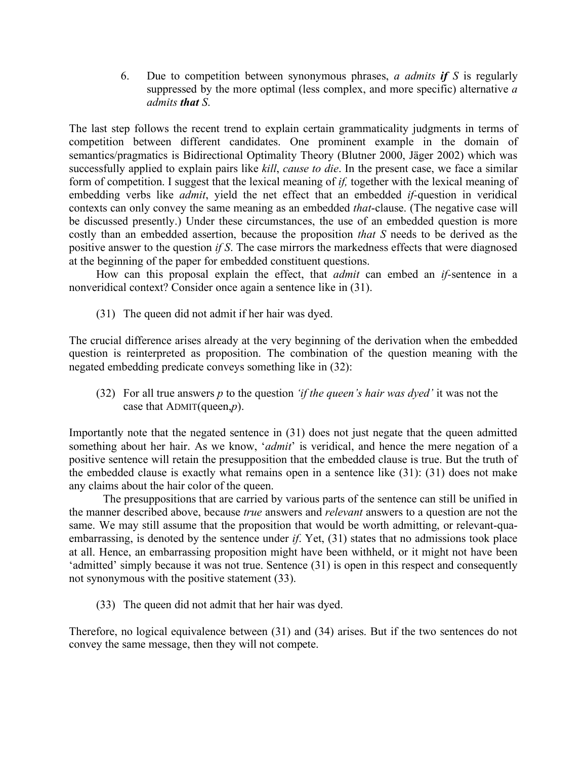6. Due to competition between synonymous phrases, *a admits if S* is regularly suppressed by the more optimal (less complex, and more specific) alternative *a admits that S*.

The last step follows the recent trend to explain certain grammaticality judgments in terms of competition between different candidates. One prominent example in the domain of semantics/pragmatics is Bidirectional Optimality Theory (Blutner 2000, Jäger 2002) which was successfully applied to explain pairs like *kill*, *cause to die*. In the present case, we face a similar form of competition. I suggest that the lexical meaning of *if,* together with the lexical meaning of embedding verbs like *admit*, yield the net effect that an embedded *if-*question in veridical contexts can only convey the same meaning as an embedded *that*-clause. (The negative case will be discussed presently.) Under these circumstances, the use of an embedded question is more costly than an embedded assertion, because the proposition *that S* needs to be derived as the positive answer to the question *if S*. The case mirrors the markedness effects that were diagnosed at the beginning of the paper for embedded constituent questions.

How can this proposal explain the effect, that *admit* can embed an *if-*sentence in a nonveridical context? Consider once again a sentence like in (31).

(31) The queen did not admit if her hair was dyed.

The crucial difference arises already at the very beginning of the derivation when the embedded question is reinterpreted as proposition. The combination of the question meaning with the negated embedding predicate conveys something like in (32):

(32) For all true answers *p* to the question *'if the queen's hair was dyed'* it was not the case that ADMIT(queen,*p*).

Importantly note that the negated sentence in (31) does not just negate that the queen admitted something about her hair. As we know, '*admit*' is veridical, and hence the mere negation of a positive sentence will retain the presupposition that the embedded clause is true. But the truth of the embedded clause is exactly what remains open in a sentence like (31): (31) does not make any claims about the hair color of the queen.

The presuppositions that are carried by various parts of the sentence can still be unified in the manner described above, because *true* answers and *relevant* answers to a question are not the same. We may still assume that the proposition that would be worth admitting, or relevant-quaembarrassing, is denoted by the sentence under *if*. Yet, (31) states that no admissions took place at all. Hence, an embarrassing proposition might have been withheld, or it might not have been 'admitted' simply because it was not true. Sentence (31) is open in this respect and consequently not synonymous with the positive statement (33).

(33) The queen did not admit that her hair was dyed.

Therefore, no logical equivalence between (31) and (34) arises. But if the two sentences do not convey the same message, then they will not compete.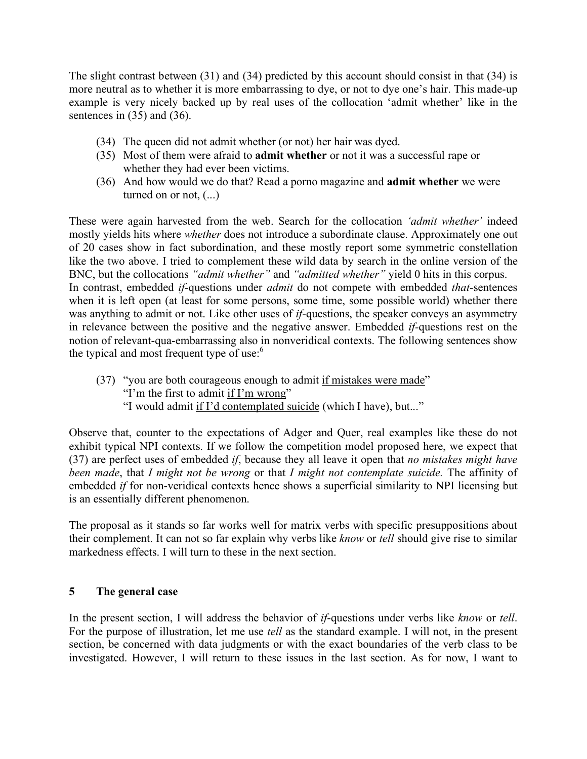The slight contrast between (31) and (34) predicted by this account should consist in that (34) is more neutral as to whether it is more embarrassing to dye, or not to dye one's hair. This made-up example is very nicely backed up by real uses of the collocation 'admit whether' like in the sentences in  $(35)$  and  $(36)$ .

- (34) The queen did not admit whether (or not) her hair was dyed.
- (35) Most of them were afraid to **admit whether** or not it was a successful rape or whether they had ever been victims.
- (36) And how would we do that? Read a porno magazine and **admit whether** we were turned on or not, (...)

These were again harvested from the web. Search for the collocation *'admit whether'* indeed mostly yields hits where *whether* does not introduce a subordinate clause. Approximately one out of 20 cases show in fact subordination, and these mostly report some symmetric constellation like the two above. I tried to complement these wild data by search in the online version of the BNC, but the collocations *"admit whether"* and *"admitted whether"* yield 0 hits in this corpus. In contrast, embedded *if*-questions under *admit* do not compete with embedded *that*-sentences when it is left open (at least for some persons, some time, some possible world) whether there was anything to admit or not. Like other uses of *if-*questions, the speaker conveys an asymmetry in relevance between the positive and the negative answer. Embedded *if-*questions rest on the notion of relevant-qua-embarrassing also in nonveridical contexts. The following sentences show the typical and most frequent type of use:<sup>6</sup>

(37) "you are both courageous enough to admit if mistakes were made" "I'm the first to admit if I'm wrong" "I would admit if I'd contemplated suicide (which I have), but..."

Observe that, counter to the expectations of Adger and Quer, real examples like these do not exhibit typical NPI contexts. If we follow the competition model proposed here, we expect that (37) are perfect uses of embedded *if*, because they all leave it open that *no mistakes might have been made*, that *I might not be wrong* or that *I might not contemplate suicide.* The affinity of embedded *if* for non-veridical contexts hence shows a superficial similarity to NPI licensing but is an essentially different phenomenon.

The proposal as it stands so far works well for matrix verbs with specific presuppositions about their complement. It can not so far explain why verbs like *know* or *tell* should give rise to similar markedness effects. I will turn to these in the next section.

## **5 The general case**

In the present section, I will address the behavior of *if*-questions under verbs like *know* or *tell*. For the purpose of illustration, let me use *tell* as the standard example. I will not, in the present section, be concerned with data judgments or with the exact boundaries of the verb class to be investigated. However, I will return to these issues in the last section. As for now, I want to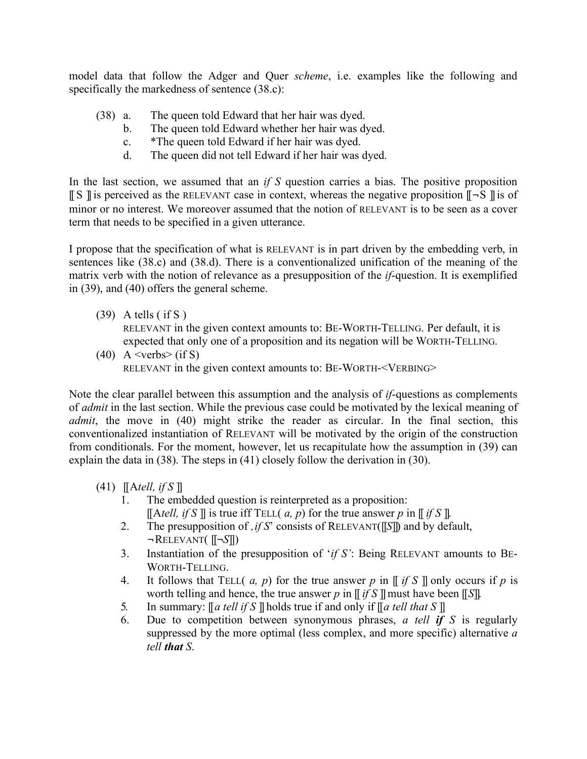model data that follow the Adger and Quer *scheme*, i.e. examples like the following and specifically the markedness of sentence (38.c):

- (38) a. The queen told Edward that her hair was dyed.
	- b. The queen told Edward whether her hair was dyed.
	- c. \*The queen told Edward if her hair was dyed.
	- d. The queen did not tell Edward if her hair was dyed.

In the last section, we assumed that an *if S* question carries a bias. The positive proposition  $\parallel S \parallel$  is perceived as the RELEVANT case in context, whereas the negative proposition  $\parallel \neg S \parallel$  is of minor or no interest. We moreover assumed that the notion of RELEVANT is to be seen as a cover term that needs to be specified in a given utterance.

I propose that the specification of what is RELEVANT is in part driven by the embedding verb, in sentences like (38.c) and (38.d). There is a conventionalized unification of the meaning of the matrix verb with the notion of relevance as a presupposition of the *if*-question. It is exemplified in (39), and (40) offers the general scheme.

(39) A tells ( if S )

RELEVANT in the given context amounts to: BE-WORTH-TELLING. Per default, it is expected that only one of a proposition and its negation will be WORTH-TELLING.

(40) A  $\langle$ verbs $\rangle$  (if S) RELEVANT in the given context amounts to: BE-WORTH-<VERBING>

Note the clear parallel between this assumption and the analysis of *if*-questions as complements of *admit* in the last section. While the previous case could be motivated by the lexical meaning of *admit*, the move in (40) might strike the reader as circular. In the final section, this conventionalized instantiation of RELEVANT will be motivated by the origin of the construction from conditionals. For the moment, however, let us recapitulate how the assumption in (39) can explain the data in (38). The steps in (41) closely follow the derivation in (30).

- (41)  $\left[\text{A} \text{ tell}, \text{ if } S \right]$ 
	- 1. The embedded question is reinterpreted as a proposition:  $[|A<sub>t</sub>e||, if S]|$  is true iff TELL( *a, p*) for the true answer *p* in  $[|if S]|$ .
	- 2. The presupposition of *if* S' consists of RELEVANT(SI) and by default, ¬RELEVANT( [[¬*S*]])
	- 3. Instantiation of the presupposition of '*if S'*: Being RELEVANT amounts to BE-WORTH-TELLING
	- 4. It follows that TELL( *a*, *p*) for the true answer *p* in  $\parallel$  *if S*  $\parallel$  only occurs if *p* is worth telling and hence, the true answer  $p$  in  $\parallel$  *if*  $S \parallel$  must have been  $\parallel$  *S* $\parallel$ .
	- 5. In summary:  $\lceil a \text{ tell if } S \rceil$  holds true if and only if  $\lceil a \text{ tell that } S \rceil$
	- 6. Due to competition between synonymous phrases, *a tell if S* is regularly suppressed by the more optimal (less complex, and more specific) alternative *a tell that S*.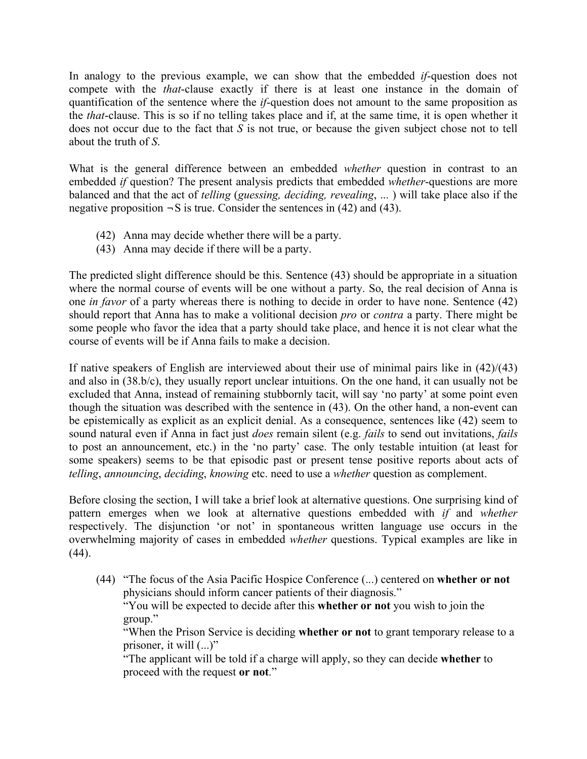In analogy to the previous example, we can show that the embedded *if*-question does not compete with the *that*-clause exactly if there is at least one instance in the domain of quantification of the sentence where the *if*-question does not amount to the same proposition as the *that*-clause. This is so if no telling takes place and if, at the same time, it is open whether it does not occur due to the fact that *S* is not true, or because the given subject chose not to tell about the truth of *S*.

What is the general difference between an embedded *whether* question in contrast to an embedded *if* question? The present analysis predicts that embedded *whether*-questions are more balanced and that the act of *telling* (*guessing, deciding, revealing*, ... ) will take place also if the negative proposition  $\neg$ S is true. Consider the sentences in (42) and (43).

- (42) Anna may decide whether there will be a party.
- (43) Anna may decide if there will be a party.

The predicted slight difference should be this. Sentence (43) should be appropriate in a situation where the normal course of events will be one without a party. So, the real decision of Anna is one *in favor* of a party whereas there is nothing to decide in order to have none. Sentence (42) should report that Anna has to make a volitional decision *pro* or *contra* a party. There might be some people who favor the idea that a party should take place, and hence it is not clear what the course of events will be if Anna fails to make a decision.

If native speakers of English are interviewed about their use of minimal pairs like in (42)/(43) and also in (38.b/c), they usually report unclear intuitions. On the one hand, it can usually not be excluded that Anna, instead of remaining stubbornly tacit, will say 'no party' at some point even though the situation was described with the sentence in (43). On the other hand, a non-event can be epistemically as explicit as an explicit denial. As a consequence, sentences like (42) seem to sound natural even if Anna in fact just *does* remain silent (e.g. *fails* to send out invitations, *fails* to post an announcement, etc.) in the 'no party' case. The only testable intuition (at least for some speakers) seems to be that episodic past or present tense positive reports about acts of *telling*, *announcing*, *deciding*, *knowing* etc. need to use a *whether* question as complement.

Before closing the section, I will take a brief look at alternative questions. One surprising kind of pattern emerges when we look at alternative questions embedded with *if* and *whether* respectively. The disjunction 'or not' in spontaneous written language use occurs in the overwhelming majority of cases in embedded *whether* questions. Typical examples are like in (44).

(44) "The focus of the Asia Pacific Hospice Conference (...) centered on **whether or not** physicians should inform cancer patients of their diagnosis." "You will be expected to decide after this **whether or not** you wish to join the group." "When the Prison Service is deciding **whether or not** to grant temporary release to a

prisoner, it will (...)"

"The applicant will be told if a charge will apply, so they can decide **whether** to proceed with the request **or not**."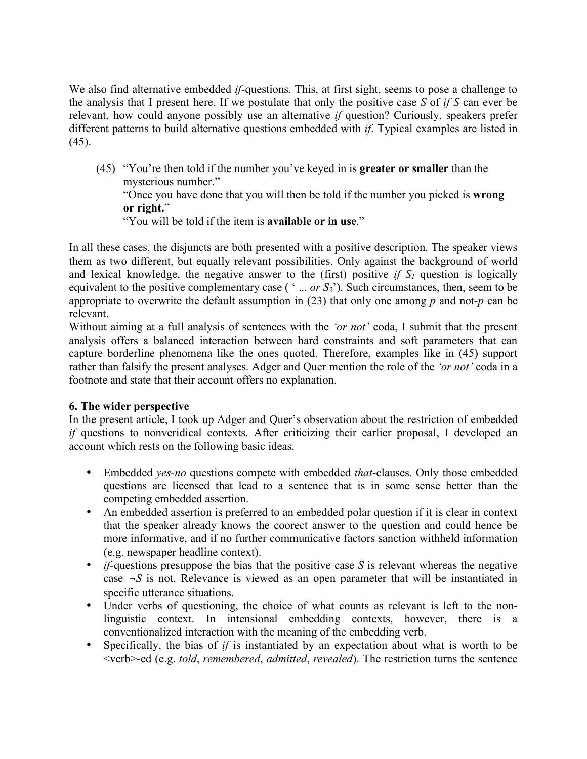We also find alternative embedded *if*-questions. This, at first sight, seems to pose a challenge to the analysis that I present here. If we postulate that only the positive case *S* of *if S* can ever be relevant, how could anyone possibly use an alternative *if* question? Curiously, speakers prefer different patterns to build alternative questions embedded with *if*. Typical examples are listed in (45).

(45) "You're then told if the number you've keyed in is **greater or smaller** than the mysterious number."

"Once you have done that you will then be told if the number you picked is **wrong or right.**"

"You will be told if the item is **available or in use**."

In all these cases, the disjuncts are both presented with a positive description. The speaker views them as two different, but equally relevant possibilities. Only against the background of world and lexical knowledge, the negative answer to the (first) positive *if*  $S_l$  question is logically equivalent to the positive complementary case ( ' ... *or S2*'). Such circumstances, then, seem to be appropriate to overwrite the default assumption in (23) that only one among *p* and not-*p* can be relevant.

Without aiming at a full analysis of sentences with the *'or not'* coda, I submit that the present analysis offers a balanced interaction between hard constraints and soft parameters that can capture borderline phenomena like the ones quoted. Therefore, examples like in (45) support rather than falsify the present analyses. Adger and Quer mention the role of the *'or not'* coda in a footnote and state that their account offers no explanation.

## **6. The wider perspective**

In the present article, I took up Adger and Quer's observation about the restriction of embedded *if* questions to nonveridical contexts. After criticizing their earlier proposal, I developed an account which rests on the following basic ideas.

- Embedded *yes-no* questions compete with embedded *that*-clauses. Only those embedded questions are licensed that lead to a sentence that is in some sense better than the competing embedded assertion.
- An embedded assertion is preferred to an embedded polar question if it is clear in context that the speaker already knows the coorect answer to the question and could hence be more informative, and if no further communicative factors sanction withheld information (e.g. newspaper headline context).
- *if*-questions presuppose the bias that the positive case *S* is relevant whereas the negative case  $\neg S$  is not. Relevance is viewed as an open parameter that will be instantiated in specific utterance situations.
- Under verbs of questioning, the choice of what counts as relevant is left to the nonlinguistic context. In intensional embedding contexts, however, there is a conventionalized interaction with the meaning of the embedding verb.
- Specifically, the bias of *if* is instantiated by an expectation about what is worth to be <verb>-ed (e.g. *told*, *remembered*, *admitted*, *revealed*). The restriction turns the sentence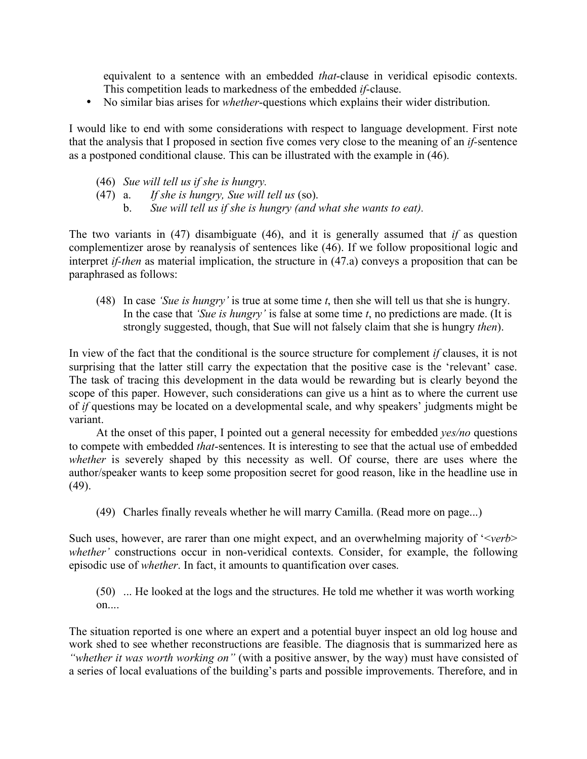equivalent to a sentence with an embedded *that*-clause in veridical episodic contexts. This competition leads to markedness of the embedded *if*-clause.

• No similar bias arises for *whether*-questions which explains their wider distribution.

I would like to end with some considerations with respect to language development. First note that the analysis that I proposed in section five comes very close to the meaning of an *if-*sentence as a postponed conditional clause. This can be illustrated with the example in (46).

- (46) *Sue will tell us if she is hungry.*
- (47) a. *If she is hungry, Sue will tell us* (so).
	- b. *Sue will tell us if she is hungry (and what she wants to eat).*

The two variants in (47) disambiguate (46), and it is generally assumed that *if* as question complementizer arose by reanalysis of sentences like (46). If we follow propositional logic and interpret *if-then* as material implication, the structure in (47.a) conveys a proposition that can be paraphrased as follows:

(48) In case *'Sue is hungry'* is true at some time *t*, then she will tell us that she is hungry. In the case that *'Sue is hungry'* is false at some time *t*, no predictions are made. (It is strongly suggested, though, that Sue will not falsely claim that she is hungry *then*).

In view of the fact that the conditional is the source structure for complement *if* clauses, it is not surprising that the latter still carry the expectation that the positive case is the 'relevant' case. The task of tracing this development in the data would be rewarding but is clearly beyond the scope of this paper. However, such considerations can give us a hint as to where the current use of *if* questions may be located on a developmental scale, and why speakers' judgments might be variant.

At the onset of this paper, I pointed out a general necessity for embedded *yes/no* questions to compete with embedded *that*-sentences. It is interesting to see that the actual use of embedded *whether* is severely shaped by this necessity as well. Of course, there are uses where the author/speaker wants to keep some proposition secret for good reason, like in the headline use in (49).

(49) Charles finally reveals whether he will marry Camilla. (Read more on page...)

Such uses, however, are rarer than one might expect, and an overwhelming majority of '<*verb*> *whether'* constructions occur in non-veridical contexts. Consider, for example, the following episodic use of *whether*. In fact, it amounts to quantification over cases.

(50) ... He looked at the logs and the structures. He told me whether it was worth working on....

The situation reported is one where an expert and a potential buyer inspect an old log house and work shed to see whether reconstructions are feasible. The diagnosis that is summarized here as *"whether it was worth working on"* (with a positive answer, by the way) must have consisted of a series of local evaluations of the building's parts and possible improvements. Therefore, and in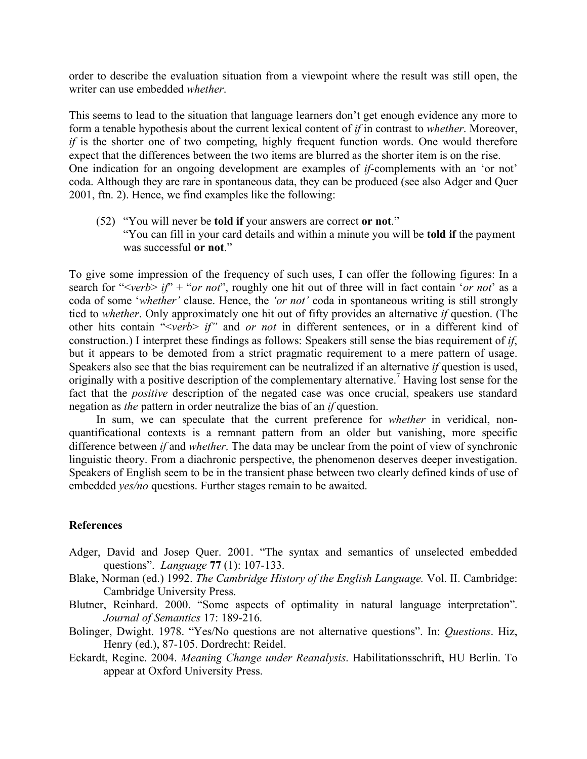order to describe the evaluation situation from a viewpoint where the result was still open, the writer can use embedded *whether*.

This seems to lead to the situation that language learners don't get enough evidence any more to form a tenable hypothesis about the current lexical content of *if* in contrast to *whether*. Moreover, *if* is the shorter one of two competing, highly frequent function words. One would therefore expect that the differences between the two items are blurred as the shorter item is on the rise. One indication for an ongoing development are examples of *if*-complements with an 'or not' coda. Although they are rare in spontaneous data, they can be produced (see also Adger and Quer 2001, ftn. 2). Hence, we find examples like the following:

(52) "You will never be **told if** your answers are correct **or not**." "You can fill in your card details and within a minute you will be **told if** the payment was successful **or not**."

To give some impression of the frequency of such uses, I can offer the following figures: In a search for "<*verb*> *if*" + "*or not*", roughly one hit out of three will in fact contain '*or not*' as a coda of some '*whether'* clause. Hence, the *'or not'* coda in spontaneous writing is still strongly tied to *whether*. Only approximately one hit out of fifty provides an alternative *if* question. (The other hits contain "<*verb*> *if"* and *or not* in different sentences, or in a different kind of construction.) I interpret these findings as follows: Speakers still sense the bias requirement of *if*, but it appears to be demoted from a strict pragmatic requirement to a mere pattern of usage. Speakers also see that the bias requirement can be neutralized if an alternative *if* question is used, originally with a positive description of the complementary alternative.<sup>7</sup> Having lost sense for the fact that the *positive* description of the negated case was once crucial, speakers use standard negation as *the* pattern in order neutralize the bias of an *if* question.

In sum, we can speculate that the current preference for *whether* in veridical, nonquantificational contexts is a remnant pattern from an older but vanishing, more specific difference between *if* and *whether*. The data may be unclear from the point of view of synchronic linguistic theory. From a diachronic perspective, the phenomenon deserves deeper investigation. Speakers of English seem to be in the transient phase between two clearly defined kinds of use of embedded *yes/no* questions. Further stages remain to be awaited.

#### **References**

- Adger, David and Josep Quer. 2001. "The syntax and semantics of unselected embedded questions". *Language* **77** (1): 107-133.
- Blake, Norman (ed.) 1992. *The Cambridge History of the English Language.* Vol. II. Cambridge: Cambridge University Press.
- Blutner, Reinhard. 2000. "Some aspects of optimality in natural language interpretation". *Journal of Semantics* 17: 189-216.
- Bolinger, Dwight. 1978. "Yes/No questions are not alternative questions". In: *Questions*. Hiz, Henry (ed.), 87-105. Dordrecht: Reidel.
- Eckardt, Regine. 2004. *Meaning Change under Reanalysis*. Habilitationsschrift, HU Berlin. To appear at Oxford University Press.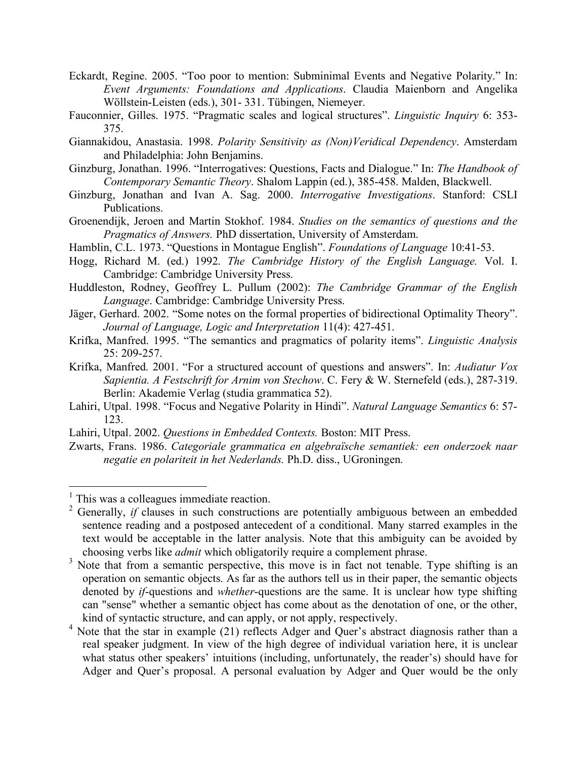- Eckardt, Regine. 2005. "Too poor to mention: Subminimal Events and Negative Polarity." In: *Event Arguments: Foundations and Applications*. Claudia Maienborn and Angelika Wöllstein-Leisten (eds.), 301- 331. Tübingen, Niemeyer.
- Fauconnier, Gilles. 1975. "Pragmatic scales and logical structures". *Linguistic Inquiry* 6: 353- 375.
- Giannakidou, Anastasia. 1998. *Polarity Sensitivity as (Non)Veridical Dependency*. Amsterdam and Philadelphia: John Benjamins.
- Ginzburg, Jonathan. 1996. "Interrogatives: Questions, Facts and Dialogue." In: *The Handbook of Contemporary Semantic Theory*. Shalom Lappin (ed.), 385-458. Malden, Blackwell.
- Ginzburg, Jonathan and Ivan A. Sag. 2000. *Interrogative Investigations*. Stanford: CSLI Publications.
- Groenendijk, Jeroen and Martin Stokhof. 1984. *Studies on the semantics of questions and the Pragmatics of Answers.* PhD dissertation, University of Amsterdam.
- Hamblin, C.L. 1973. "Questions in Montague English". *Foundations of Language* 10:41-53.
- Hogg, Richard M. (ed.) 1992. *The Cambridge History of the English Language.* Vol. I. Cambridge: Cambridge University Press.
- Huddleston, Rodney, Geoffrey L. Pullum (2002): *The Cambridge Grammar of the English Language*. Cambridge: Cambridge University Press.
- Jäger, Gerhard. 2002. "Some notes on the formal properties of bidirectional Optimality Theory". *Journal of Language, Logic and Interpretation* 11(4): 427-451.
- Krifka, Manfred. 1995. "The semantics and pragmatics of polarity items". *Linguistic Analysis* 25: 209-257.
- Krifka, Manfred. 2001. "For a structured account of questions and answers". In: *Audiatur Vox Sapientia. A Festschrift for Arnim von Stechow*. C. Fery & W. Sternefeld (eds.), 287-319. Berlin: Akademie Verlag (studia grammatica 52).
- Lahiri, Utpal. 1998. "Focus and Negative Polarity in Hindi". *Natural Language Semantics* 6: 57- 123.
- Lahiri, Utpal. 2002. *Questions in Embedded Contexts.* Boston: MIT Press.
- Zwarts, Frans. 1986. *Categoriale grammatica en algebraïsche semantiek: een onderzoek naar negatie en polariteit in het Nederlands.* Ph.D. diss., UGroningen.

 $<sup>1</sup>$  This was a colleagues immediate reaction.</sup>

<sup>&</sup>lt;sup>2</sup> Generally, *if* clauses in such constructions are potentially ambiguous between an embedded sentence reading and a postposed antecedent of a conditional. Many starred examples in the text would be acceptable in the latter analysis. Note that this ambiguity can be avoided by <sup>3</sup> Note that from a semantic perspective, this move is in fact not tenable. Type shifting is an <sup>3</sup>

operation on semantic objects. As far as the authors tell us in their paper, the semantic objects denoted by *if*-questions and *whether*-questions are the same. It is unclear how type shifting can "sense" whether a semantic object has come about as the denotation of one, or the other, kind of syntactic structure, and can apply, or not apply, respectively.

<sup>&</sup>lt;sup>4</sup> Note that the star in example (21) reflects Adger and Quer's abstract diagnosis rather than a real speaker judgment. In view of the high degree of individual variation here, it is unclear what status other speakers' intuitions (including, unfortunately, the reader's) should have for Adger and Quer's proposal. A personal evaluation by Adger and Quer would be the only